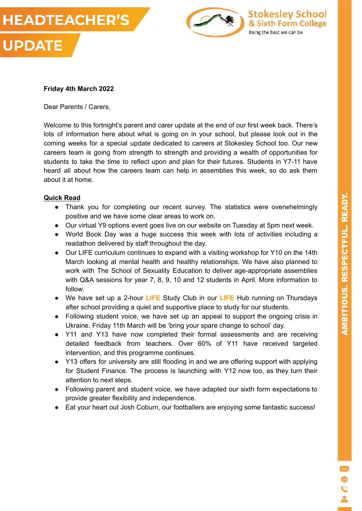

# **Friday 4th March 2022**

Dear Parents / Carers,

Welcome to this fortnight's parent and carer update at the end of our first week back. There's lots of information here about what is going on in your school, but please look out in the coming weeks for a special update dedicated to careers at Stokesley School too. Our new careers team is going from strength to strength and providing a wealth of opportunities for students to take the time to reflect upon and plan for their futures. Students in Y7-11 have heard all about how the careers team can help in assemblies this week, so do ask them about it at home.

# **Quick Read**

- Thank you for completing our recent survey. The statistics were overwhelmingly positive and we have some clear areas to work on.
- Our virtual Y9 options event goes live on our website on Tuesday at 5pm next week.
- World Book Day was a huge success this week with lots of activities including a readathon delivered by staff throughout the day.
- Our LIFE curriculum continues to expand with a visiting workshop for Y10 on the 14th March looking at mental health and healthy relationships. We have also planned to work with The School of Sexuality Education to deliver age-appropriate assemblies with Q&A sessions for year 7, 8, 9, 10 and 12 students in April. More information to follow.
- We have set up a 2-hour **LIFE** Study Club in our **LIFE** Hub running on Thursdays after school providing a quiet and supportive place to study for our students.
- Following student voice, we have set up an appeal to support the ongoing crisis in Ukraine. Friday 11th March will be 'bring your spare change to school' day.
- Y11 and Y13 have now completed their formal assessments and are receiving detailed feedback from teachers. Over 60% of Y11 have received targeted intervention, and this programme continues.
- Y13 offers for university are still flooding in and we are offering support with applying for Student Finance. The process is launching with Y12 now too, as they turn their attention to next steps.
- Following parent and student voice, we have adapted our sixth form expectations to provide greater flexibility and independence.
- Eat your heart out Josh Coburn, our footballers are enjoying some fantastic success!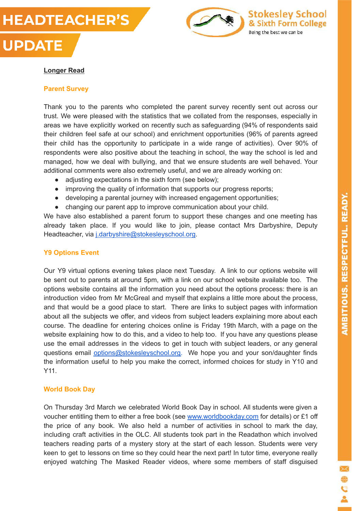



**Stokesley School** 

& Sixth Form College

Being the best we can be

### **Longer Read**

**UPDATE** 

#### **Parent Survey**

Thank you to the parents who completed the parent survey recently sent out across our trust. We were pleased with the statistics that we collated from the responses, especially in areas we have explicitly worked on recently such as safeguarding (94% of respondents said their children feel safe at our school) and enrichment opportunities (96% of parents agreed their child has the opportunity to participate in a wide range of activities). Over 90% of respondents were also positive about the teaching in school, the way the school is led and managed, how we deal with bullying, and that we ensure students are well behaved. Your additional comments were also extremely useful, and we are already working on:

- adjusting expectations in the sixth form (see below);
- improving the quality of information that supports our progress reports;
- developing a parental journey with increased engagement opportunities;
- changing our parent app to improve communication about your child.

We have also established a parent forum to support these changes and one meeting has already taken place. If you would like to join, please contact Mrs Darbyshire, Deputy Headteacher, via [j.darbyshire@stokesleyschool.org](mailto:j.darbyshire@stokesleyschool.org).

### **Y9 Options Event**

Our Y9 virtual options evening takes place next Tuesday. A link to our options website will be sent out to parents at around 5pm, with a link on our school website available too. The options website contains all the information you need about the options process: there is an introduction video from Mr McGreal and myself that explains a little more about the process, and that would be a good place to start. There are links to subject pages with information about all the subjects we offer, and videos from subject leaders explaining more about each course. The deadline for entering choices online is Friday 19th March, with a page on the website explaining how to do this, and a video to help too. If you have any questions please use the email addresses in the videos to get in touch with subject leaders, or any general questions email [options@stokesleyschool.org.](mailto:options@stokesleyschool.org) We hope you and your son/daughter finds the information useful to help you make the correct, informed choices for study in Y10 and Y11.

### **World Book Day**

On Thursday 3rd March we celebrated World Book Day in school. All students were given a voucher entitling them to either a free book (see [www.worldbookday.com](http://www.worldbookday.com/) for details) or £1 off the price of any book. We also held a number of activities in school to mark the day, including craft activities in the OLC. All students took part in the Readathon which involved teachers reading parts of a mystery story at the start of each lesson. Students were very keen to get to lessons on time so they could hear the next part! In tutor time, everyone really enjoyed watching The Masked Reader videos, where some members of staff disguised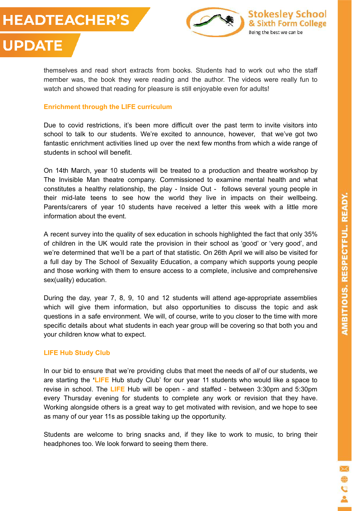**UPDATE** 



themselves and read short extracts from books. Students had to work out who the staff member was, the book they were reading and the author. The videos were really fun to watch and showed that reading for pleasure is still enjoyable even for adults!

### **Enrichment through the LIFE curriculum**

Due to covid restrictions, it's been more difficult over the past term to invite visitors into school to talk to our students. We're excited to announce, however, that we've got two fantastic enrichment activities lined up over the next few months from which a wide range of students in school will benefit.

On 14th March, year 10 students will be treated to a production and theatre workshop by The Invisible Man theatre company. Commissioned to examine mental health and what constitutes a healthy relationship, the play - Inside Out - follows several young people in their mid-late teens to see how the world they live in impacts on their wellbeing. Parents/carers of year 10 students have received a letter this week with a little more information about the event.

A recent survey into the quality of sex education in schools highlighted the fact that only 35% of children in the UK would rate the provision in their school as 'good' or 'very good', and we're determined that we'll be a part of that statistic. On 26th April we will also be visited for a full day by The School of Sexuality Education, a company which supports young people and those working with them to ensure access to a complete, inclusive and comprehensive sex(uality) education.

During the day, year 7, 8, 9, 10 and 12 students will attend age-appropriate assemblies which will give them information, but also opportunities to discuss the topic and ask questions in a safe environment. We will, of course, write to you closer to the time with more specific details about what students in each year group will be covering so that both you and your children know what to expect.

# **LIFE Hub Study Club**

In our bid to ensure that we're providing clubs that meet the needs of *all* of our students, we are starting the **'LIFE** Hub study Club' for our year 11 students who would like a space to revise in school. The **LIFE** Hub will be open - and staffed - between 3:30pm and 5:30pm every Thursday evening for students to complete any work or revision that they have. Working alongside others is a great way to get motivated with revision, and we hope to see as many of our year 11s as possible taking up the opportunity.

Students are welcome to bring snacks and, if they like to work to music, to bring their headphones too. We look forward to seeing them there.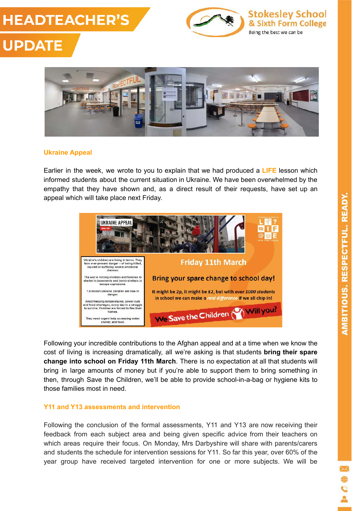





### **Ukraine Appeal**

Earlier in the week, we wrote to you to explain that we had produced a **LIFE** lesson which informed students about the current situation in Ukraine. We have been overwhelmed by the empathy that they have shown and, as a direct result of their requests, have set up an appeal which will take place next Friday.



Following your incredible contributions to the Afghan appeal and at a time when we know the cost of living is increasing dramatically, all we're asking is that students **bring their spare change into school on Friday 11th March**. There is no expectation at all that students will bring in large amounts of money but if you're able to support them to bring something in then, through Save the Children, we'll be able to provide school-in-a-bag or hygiene kits to those families most in need.

### **Y11 and Y13 assessments and intervention**

Following the conclusion of the formal assessments, Y11 and Y13 are now receiving their feedback from each subject area and being given specific advice from their teachers on which areas require their focus. On Monday, Mrs Darbyshire will share with parents/carers and students the schedule for intervention sessions for Y11. So far this year, over 60% of the year group have received targeted intervention for one or more subjects. We will be

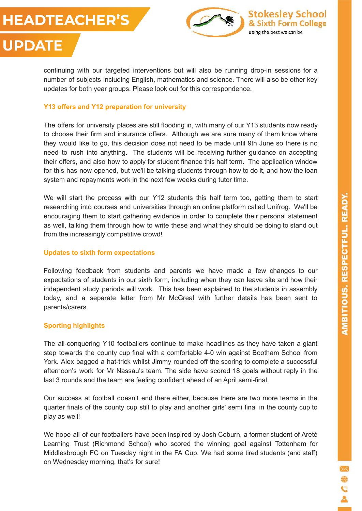**UPDATE** 



continuing with our targeted interventions but will also be running drop-in sessions for a number of subjects including English, mathematics and science. There will also be other key updates for both year groups. Please look out for this correspondence.

# **Y13 offers and Y12 preparation for university**

The offers for university places are still flooding in, with many of our Y13 students now ready to choose their firm and insurance offers. Although we are sure many of them know where they would like to go, this decision does not need to be made until 9th June so there is no need to rush into anything. The students will be receiving further guidance on accepting their offers, and also how to apply for student finance this half term. The application window for this has now opened, but we'll be talking students through how to do it, and how the loan system and repayments work in the next few weeks during tutor time.

We will start the process with our Y12 students this half term too, getting them to start researching into courses and universities through an online platform called Unifrog. We'll be encouraging them to start gathering evidence in order to complete their personal statement as well, talking them through how to write these and what they should be doing to stand out from the increasingly competitive crowd!

### **Updates to sixth form expectations**

Following feedback from students and parents we have made a few changes to our expectations of students in our sixth form, including when they can leave site and how their independent study periods will work. This has been explained to the students in assembly today, and a separate letter from Mr McGreal with further details has been sent to parents/carers.

# **Sporting highlights**

The all-conquering Y10 footballers continue to make headlines as they have taken a giant step towards the county cup final with a comfortable 4-0 win against Bootham School from York. Alex bagged a hat-trick whilst Jimmy rounded off the scoring to complete a successful afternoon's work for Mr Nassau's team. The side have scored 18 goals without reply in the last 3 rounds and the team are feeling confident ahead of an April semi-final.

Our success at football doesn't end there either, because there are two more teams in the quarter finals of the county cup still to play and another girls' semi final in the county cup to play as well!

We hope all of our footballers have been inspired by Josh Coburn, a former student of Areté Learning Trust (Richmond School) who scored the winning goal against Tottenham for Middlesbrough FC on Tuesday night in the FA Cup. We had some tired students (and staff) on Wednesday morning, that's for sure!